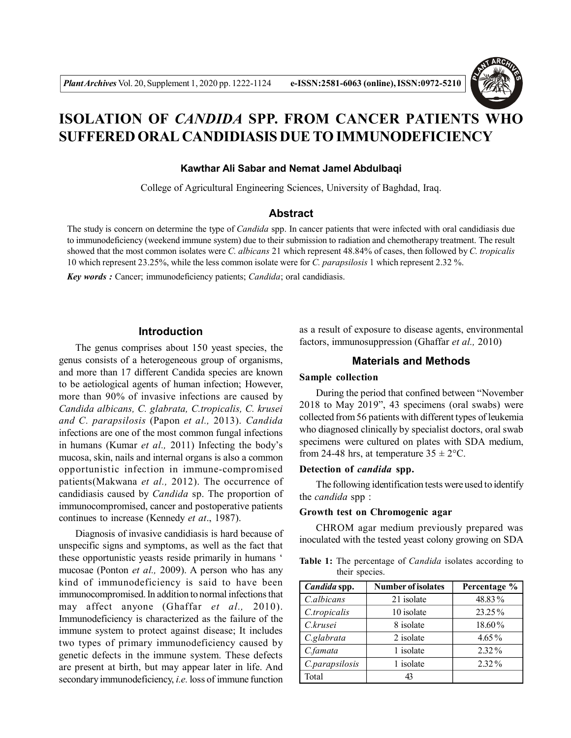# **ISOLATION OF** *CANDIDA* **SPP. FROM CANCER PATIENTS WHO SUFFERED ORAL CANDIDIASIS DUE TO IMMUNODEFICIENCY**

# **Kawthar Ali Sabar and Nemat Jamel Abdulbaqi**

College of Agricultural Engineering Sciences, University of Baghdad, Iraq.

### **Abstract**

The study is concern on determine the type of *Candida* spp. In cancer patients that were infected with oral candidiasis due to immunodeficiency (weekend immune system) due to their submission to radiation and chemotherapy treatment. The result showed that the most common isolates were *C. albicans* 21 which represent 48.84% of cases, then followed by *C. tropicalis* 10 which represent 23.25%, while the less common isolate were for *C. parapsilosis* 1 which represent 2.32 %.

*Key words :* Cancer; immunodeficiency patients; *Candida*; oral candidiasis.

# **Introduction**

The genus comprises about 150 yeast species, the genus consists of a heterogeneous group of organisms, and more than 17 different Candida species are known to be aetiological agents of human infection; However, more than 90% of invasive infections are caused by *Candida albicans, C. glabrata, C.tropicalis, C. krusei and C. parapsilosis* (Papon *et al.,* 2013). *Candida* infections are one of the most common fungal infections in humans (Kumar *et al.,* 2011) Infecting the body's mucosa, skin, nails and internal organs is also a common opportunistic infection in immune-compromised patients(Makwana *et al.,* 2012). The occurrence of candidiasis caused by *Candida* sp. The proportion of immunocompromised, cancer and postoperative patients continues to increase (Kennedy *et at*., 1987).

Diagnosis of invasive candidiasis is hard because of unspecific signs and symptoms, as well as the fact that these opportunistic yeasts reside primarily in humans ' mucosae (Ponton *et al.,* 2009). A person who has any kind of immunodeficiency is said to have been immunocompromised. In addition to normal infections that may affect anyone (Ghaffar *et al.,* 2010). Immunodeficiency is characterized as the failure of the immune system to protect against disease; It includes two types of primary immunodeficiency caused by genetic defects in the immune system. These defects are present at birth, but may appear later in life. And secondary immunodeficiency, *i.e.* loss of immune function

as a result of exposure to disease agents, environmental factors, immunosuppression (Ghaffar *et al.,* 2010)

# **Materials and Methods**

#### **Sample collection**

During the period that confined between "November 2018 to May 2019", 43 specimens (oral swabs) were collected from 56 patients with different types of leukemia who diagnosed clinically by specialist doctors, oral swab specimens were cultured on plates with SDA medium, from 24-48 hrs, at temperature  $35 \pm 2$ °C.

### **Detection of** *candida* **spp.**

The following identification tests were used to identify the *candida* spp :

### **Growth test on Chromogenic agar**

CHROM agar medium previously prepared was inoculated with the tested yeast colony growing on SDA

**Table 1:** The percentage of *Candida* isolates according to their species.

| Candida spp.   | <b>Number of isolates</b> | Percentage % |
|----------------|---------------------------|--------------|
| C.albicans     | 21 isolate                | 48.83%       |
| C.tropicalis   | 10 isolate                | $23.25\%$    |
| C.krusei       | 8 isolate                 | 18.60%       |
| C.glabrata     | 2 isolate                 | $4.65\%$     |
| C.famata       | 1 isolate                 | $2.32\%$     |
| C.parapsilosis | 1 isolate                 | $2.32\%$     |
| Total          | 43                        |              |

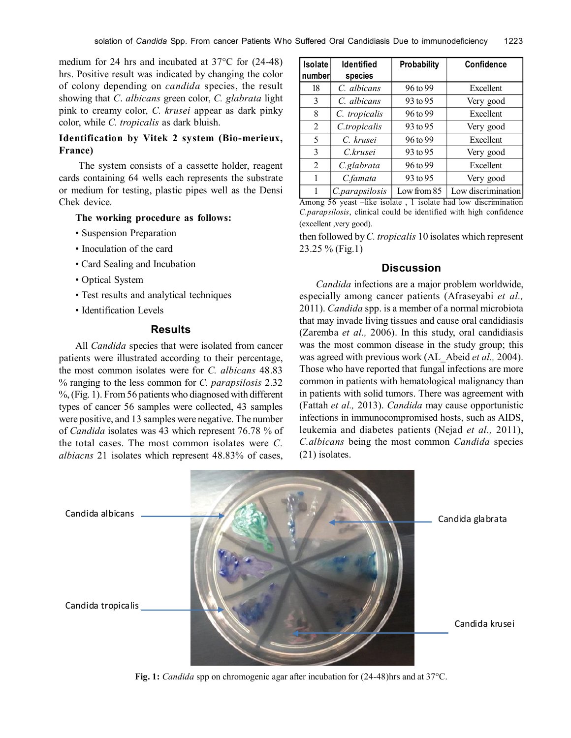medium for 24 hrs and incubated at 37°C for (24-48) hrs. Positive result was indicated by changing the color of colony depending on *candida* species, the result showing that *C*. *albicans* green color, *C. glabrata* light pink to creamy color, *C. krusei* appear as dark pinky color, while *C. tropicalis* as dark bluish.

# **Identification by Vitek 2 system (Bio-merieux, France)**

 The system consists of a cassette holder, reagent cards containing 64 wells each represents the substrate or medium for testing, plastic pipes well as the Densi Chek device.

### **The working procedure as follows:**

- Suspension Preparation
- Inoculation of the card
- Card Sealing and Incubation
- Optical System
- Test results and analytical techniques
- Identification Levels

# **Results**

All *Candida* species that were isolated from cancer patients were illustrated according to their percentage, the most common isolates were for *C. albicans* 48.83 % ranging to the less common for *C. parapsilosis* 2.32 %, (Fig. 1). From 56 patients who diagnosed with different types of cancer 56 samples were collected, 43 samples were positive, and 13 samples were negative. The number of *Candida* isolates was 43 which represent 76.78 % of the total cases. The most common isolates were *C. albiacns* 21 isolates which represent 48.83% of cases,

| Isolate | <b>Identified</b> | Probability | Confidence         |
|---------|-------------------|-------------|--------------------|
| number  | species           |             |                    |
| 18      | C. albicans       | 96 to 99    | Excellent          |
| 3       | C. albicans       | 93 to 95    | Very good          |
| 8       | C. tropicalis     | 96 to 99    | Excellent          |
| 2       | C.tropicalis      | 93 to 95    | Very good          |
| 5       | C. krusei         | 96 to 99    | Excellent          |
| 3       | C.krusei          | 93 to 95    | Very good          |
| 2       | C.glabrata        | 96 to 99    | Excellent          |
| 1       | C.famata          | 93 to 95    | Very good          |
|         | C.parapsilosis    | Low from 85 | Low discrimination |

Among 56 yeast –like isolate , 1 isolate had low discrimination *C.parapsilosis*, clinical could be identified with high confidence (excellent ,very good).

then followed by *C. tropicalis* 10 isolates which represent 23.25 % (Fig.1)

### **Discussion**

*Candida* infections are a major problem worldwide, especially among cancer patients (Afraseyabi *et al.,* 2011). *Candida* spp. is a member of a normal microbiota that may invade living tissues and cause oral candidiasis (Zaremba *et al.,* 2006). In this study, oral candidiasis was the most common disease in the study group; this was agreed with previous work (AL\_Abeid *et al.,* 2004). Those who have reported that fungal infections are more common in patients with hematological malignancy than in patients with solid tumors. There was agreement with (Fattah *et al.,* 2013). *Candida* may cause opportunistic infections in immunocompromised hosts, such as AIDS, leukemia and diabetes patients (Nejad *et al.,* 2011), *C.albicans* being the most common *Candida* species (21) isolates.



**Fig. 1:** *Candida* spp on chromogenic agar after incubation for (24-48)hrs and at 37°C.